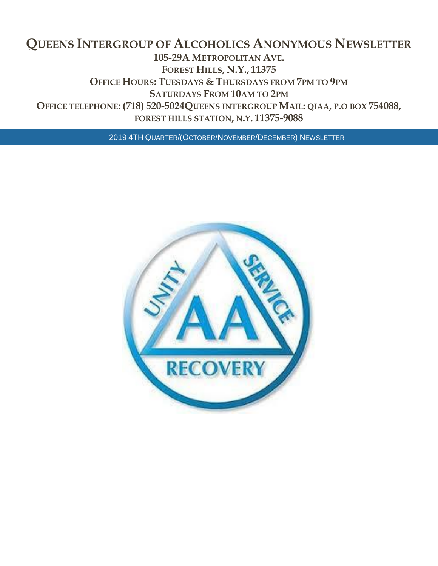## **QUEENS INTERGROUP OF ALCOHOLICS ANONYMOUS NEWSLETTER 105-29A METROPOLITAN AVE. FOREST HILLS, N.Y., 11375 OFFICE HOURS: TUESDAYS & THURSDAYS FROM 7PM TO 9PM SATURDAYS FROM 10AM TO 2PM OFFICE TELEPHONE: (718) 520-5024QUEENS INTERGROUP MAIL: QIAA, P.O BOX 754088, FOREST HILLS STATION, N.Y. 11375-9088**

2019 4TH QUARTER/(OCTOBER/NOVEMBER/DECEMBER) NEWSLETTER

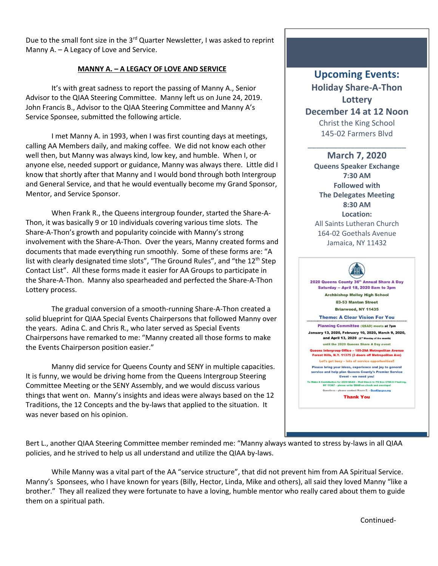Due to the small font size in the 3<sup>rd</sup> Quarter Newsletter, I was asked to reprint Manny A. – A Legacy of Love and Service.

### **MANNY A. – A LEGACY OF LOVE AND SERVICE**

It's with great sadness to report the passing of Manny A., Senior Advisor to the QIAA Steering Committee. Manny left us on June 24, 2019. John Francis B., Advisor to the QIAA Steering Committee and Manny A's Service Sponsee, submitted the following article.

I met Manny A. in 1993, when I was first counting days at meetings, calling AA Members daily, and making coffee. We did not know each other well then, but Manny was always kind, low key, and humble. When I, or anyone else, needed support or guidance, Manny was always there. Little did I know that shortly after that Manny and I would bond through both Intergroup and General Service, and that he would eventually become my Grand Sponsor, Mentor, and Service Sponsor.

When Frank R., the Queens intergroup founder, started the Share-A-Thon, it was basically 9 or 10 individuals covering various time slots. The Share-A-Thon's growth and popularity coincide with Manny's strong involvement with the Share-A-Thon. Over the years, Manny created forms and documents that made everything run smoothly. Some of these forms are: "A list with clearly designated time slots", "The Ground Rules", and "the 12<sup>th</sup> Step Contact List". All these forms made it easier for AA Groups to participate in the Share-A-Thon. Manny also spearheaded and perfected the Share-A-Thon Lottery process.

The gradual conversion of a smooth-running Share-A-Thon created a solid blueprint for QIAA Special Events Chairpersons that followed Manny over the years. Adina C. and Chris R., who later served as Special Events Chairpersons have remarked to me: "Manny created all those forms to make the Events Chairperson position easier."

Manny did service for Queens County and SENY in multiple capacities. It is funny, we would be driving home from the Queens Intergroup Steering Committee Meeting or the SENY Assembly, and we would discuss various things that went on. Manny's insights and ideas were always based on the 12 Traditions, the 12 Concepts and the by-laws that applied to the situation. It was never based on his opinion.

# **Upcoming Events: Holiday Share-A-Thon Lottery**

**December 14 at 12 Noon** Christ the King School 145-02 Farmers Blvd

\_\_\_\_\_\_\_\_\_\_\_\_\_\_\_\_\_\_\_\_\_\_\_

**March 7, 2020 Queens Speaker Exchange 7:30 AM Followed with The Delegates Meeting 8:30 AM Location:** All Saints Lutheran Church 164-02 Goethals Avenue Jamaica, NY 11432

#### ΉH 2020 Queens County 36th Annual Share A Day Saturday -- April 18, 2020 8am to 3pm **Archbishop Molloy High School** 83-53 Manton Street Briarwood, NY 11435 **Theme: A Clear Vision For You Planning Committee (QSAD) meets at 7pm** January 13, 2020, February 10, 2020, March 9, 2020, and April 13, 2020 (2" Monday of the month) until the 2020 Queens Share A Day event Queens Intergroup Office – 105-29A Metropolitan Avenue<br>Forest Hills, N.Y. 11375 (3 doors off Metropolitan Ave) Let's get busy - lots of service opportunities!! Please bring your ideas, experience and joy to general service and help plan Queens County's Premier Service Event - we need you! To Make A Contribution for 2020 QSAD - Mail Check to PO Box 67<br>NY 11367 - please write QSAD on check and envelop Questions - please contact Maura Z. - Qsad@qcgsa.org **Thank You**

Bert L., another QIAA Steering Committee member reminded me: "Manny always wanted to stress by-laws in all QIAA policies, and he strived to help us all understand and utilize the QIAA by-laws.

While Manny was a vital part of the AA "service structure", that did not prevent him from AA Spiritual Service. Manny's Sponsees, who I have known for years (Billy, Hector, Linda, Mike and others), all said they loved Manny "like a brother." They all realized they were fortunate to have a loving, humble mentor who really cared about them to guide them on a spiritual path.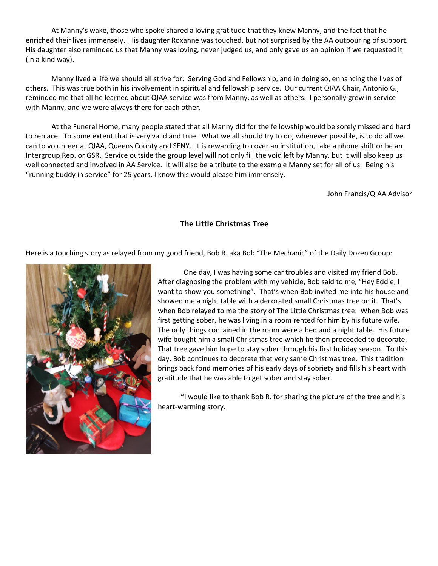At Manny's wake, those who spoke shared a loving gratitude that they knew Manny, and the fact that he enriched their lives immensely. His daughter Roxanne was touched, but not surprised by the AA outpouring of support. His daughter also reminded us that Manny was loving, never judged us, and only gave us an opinion if we requested it (in a kind way).

Manny lived a life we should all strive for: Serving God and Fellowship, and in doing so, enhancing the lives of others. This was true both in his involvement in spiritual and fellowship service. Our current QIAA Chair, Antonio G., reminded me that all he learned about QIAA service was from Manny, as well as others. I personally grew in service with Manny, and we were always there for each other.

At the Funeral Home, many people stated that all Manny did for the fellowship would be sorely missed and hard to replace. To some extent that is very valid and true. What we all should try to do, whenever possible, is to do all we can to volunteer at QIAA, Queens County and SENY. It is rewarding to cover an institution, take a phone shift or be an Intergroup Rep. or GSR. Service outside the group level will not only fill the void left by Manny, but it will also keep us well connected and involved in AA Service. It will also be a tribute to the example Manny set for all of us. Being his "running buddy in service" for 25 years, I know this would please him immensely.

John Francis/QIAA Advisor

## **The Little Christmas Tree**

Here is a touching story as relayed from my good friend, Bob R. aka Bob "The Mechanic" of the Daily Dozen Group:



One day, I was having some car troubles and visited my friend Bob. After diagnosing the problem with my vehicle, Bob said to me, "Hey Eddie, I want to show you something". That's when Bob invited me into his house and showed me a night table with a decorated small Christmas tree on it. That's when Bob relayed to me the story of The Little Christmas tree. When Bob was first getting sober, he was living in a room rented for him by his future wife. The only things contained in the room were a bed and a night table. His future wife bought him a small Christmas tree which he then proceeded to decorate. That tree gave him hope to stay sober through his first holiday season. To this day, Bob continues to decorate that very same Christmas tree. This tradition brings back fond memories of his early days of sobriety and fills his heart with gratitude that he was able to get sober and stay sober.

\*I would like to thank Bob R. for sharing the picture of the tree and his heart-warming story.